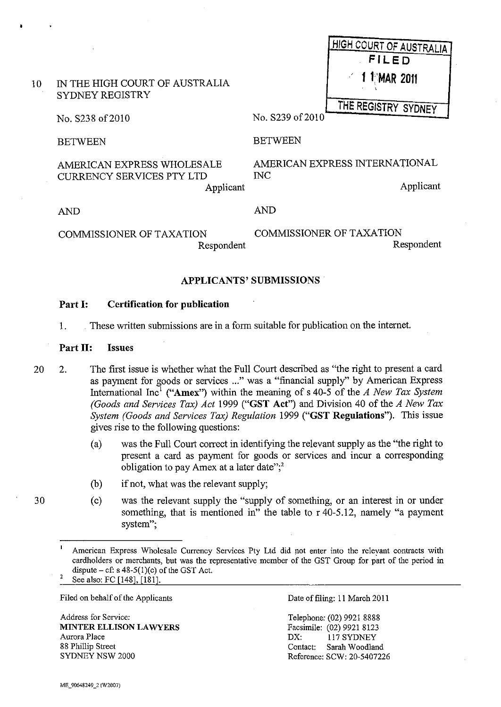|                 |                                                                             | <b>HIGH COURT OF AUSTRALIA</b>                                        |
|-----------------|-----------------------------------------------------------------------------|-----------------------------------------------------------------------|
|                 |                                                                             | <b>FILED</b>                                                          |
| 10 <sup>°</sup> | IN THE HIGH COURT OF AUSTRALIA<br>SYDNEY REGISTRY                           | $\mathcal{L}$<br>1 MAR 2011                                           |
|                 | No. S238 of 2010                                                            | THE REGISTRY SYDNEY<br>No. S239 of 2010                               |
|                 | <b>BETWEEN</b>                                                              | <b>BETWEEN</b>                                                        |
|                 | AMERICAN EXPRESS WHOLESALE<br><b>CURRENCY SERVICES PTY LTD</b><br>Applicant | AMERICAN EXPRESS INTERNATIONAL<br>$\overline{\text{NC}}$<br>Applicant |
|                 | <b>AND</b>                                                                  | <b>AND</b>                                                            |
|                 | <b>COMMISSIONER OF TAXATION</b><br>Respondent                               | <b>COMMISSIONER OF TAXATION</b><br>Respondent                         |

#### APPLICANTS' SUBMISSIONS'

#### Part I: Certification for publication

1. These written submissions are in a form suitable for publication on the internet.

#### Part II: Issues

- 20 2. The first issue is whether what the Full Court described as "the right to present a card as payment for goods or services ..." was a "financial supply" by American Express International Inc! ("Amex") within the meaning of s 40-5 of the *A New Tax System (Goods and Services Tax) Act* 1999 ("GST Act") and Division 40 of the *A New Tax System (Goods and Services Tax) Regulation* 1999 ("GST Regulations"). This issue gives rise to the following questions:
	- (a) was the Full Court correct in identifying the relevant supply as the "the right to present a card as payment for goods or services and incur a corresponding obligation to pay Amex at a later date";<sup>2</sup>
	- (b) if not, what was the relevant supply;
	- (c) was the relevant supply the "supply of something, or an interest in or under something, that is mentioned in" the table to r 40-5.12, namely "a payment system";

Filed on behalf of the Applicants

Address for Service: MINTER ELLISON LAWYERS Aurora Place 88 Phillip Street SYDNEY NSW 2000

Date of filing: 11 March 2011

Telephone: (02) 9921 8888 Facsimile: (02) 9921 8123<br>DX: 117 SYDNEY 117 SYDNEY Contact: Sarah Woodland Reference: SCW: 20-5407226

American Express Wholesale Currency Services Pty Ltd did not enter into the relevant contracts with cardholders or merchants, but was the representative member of the GST Group for part of the period in dispute  $- cf: s 48-5(1)(c)$  of the GST Act. See also: FC [148], [181].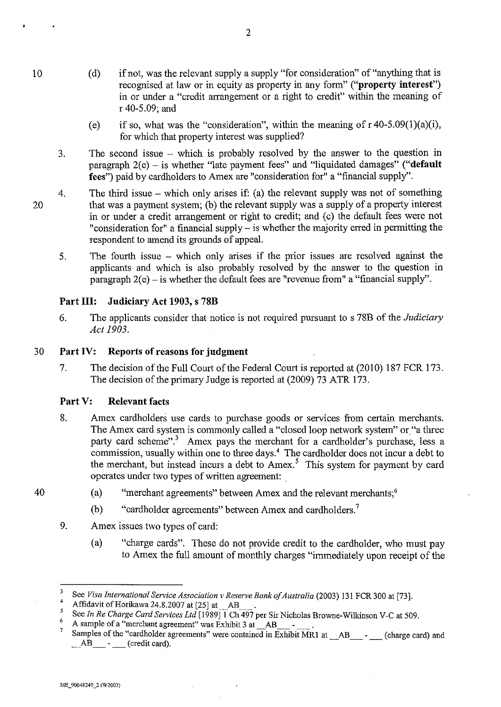(d) if not, was the relevant supply a supply "for consideration" of "anything that is recognised at law or in equity as property in any form" ("**property interest**") in or under a "credit arrangement or a right to credit" within the meaning of

r 40-5.09; and

- (e) if so, what was the "consideration", within the meaning of  $r 40-5.09(1)(a)(i)$ , for which that property interest was supplied?
- 3. The second issue - which is probably resolved by the answer to the question in paragraph  $2(e)$  – is whether "late payment fees" and "liquidated damages" ("default fees") paid by cardholders to Amex are "consideration for" a "financial supply".
- 4. The third issue – which only arises if: (a) the relevant supply was not of something that was a payment system; (b) the relevant supply was a supply of a property interest in or under a credit arrangement or right to credit; and (c) the default fees were not "consideration for" a financial supply  $-$  is whether the majority erred in permitting the respondent to amend its grounds of appeal.
	- 5. The fourth issue which only arises if the prior issues are resolved against the applicants and which is also probably resolved by the answer to the question in paragraph  $2(e)$  – is whether the default fees are "revenue from" a "financial supply".

# Part III: Judiciary Act 1903, s 78B

6. The applicants consider that notice is not required pursuant to s 78B of the *Judiciary Act 1903.* 

## 30 Part IV: Reports of reasons for judgment

7. The decision of the Full Court of the Federal Court is reported at (2010) 187 FCR 173. The decision of the primary Judge is reported at (2009) 73 ATR 173.

## Part V: Relevant facts

- 8. Amex cardholders use cards to purchase goods or services from certain merchants. The Amex card system is commonly called a "closed loop network system" or "a three party card scheme".<sup>3</sup> Amex pays the merchant for a cardholder's purchase, less a commission, usually within one to three days.<sup>4</sup> The cardholder does not incur a debt to the merchant, but instead incurs a debt to Amex.<sup>5</sup> This system for payment by card operates under two types of written agreement:
	- (a) "merchant agreements" between Amex and the relevant merchants;<sup>6</sup>
		- (b) "cardholder agreements" between Amex and cardholders.<sup>7</sup>
- 9. Amex issues two types of card:
	- (a) "charge cards". These do not provide credit to the cardholder, who must pay to Amex the full amount of monthly charges "immediately upon receipt of the

 $^{6}$  A sample of a "merchant agreement" was Exhibit 3 at  $\overline{AB}$  .

2

40

10

<sup>&</sup>lt;sup>3</sup> See *Visa International Service Association v Reserve Bank of Australia* (2003) 131 FCR 300 at [73].

<sup>&</sup>lt;sup>4</sup> Affidavit of Horikawa 24.8.2007 at  $[25]$  at  $\overline{AB}$ 

<sup>&</sup>lt;sup>5</sup> See *In Re Charge Card Services Ltd* [1989] 1 Ch 497 per Sir Nicholas Browne-Wilkinson V-C at 509.

Samples of the "cardholder agreements" were contained in Exhibit MR1 at \_\_AB - (charge card) and AB - (credit card).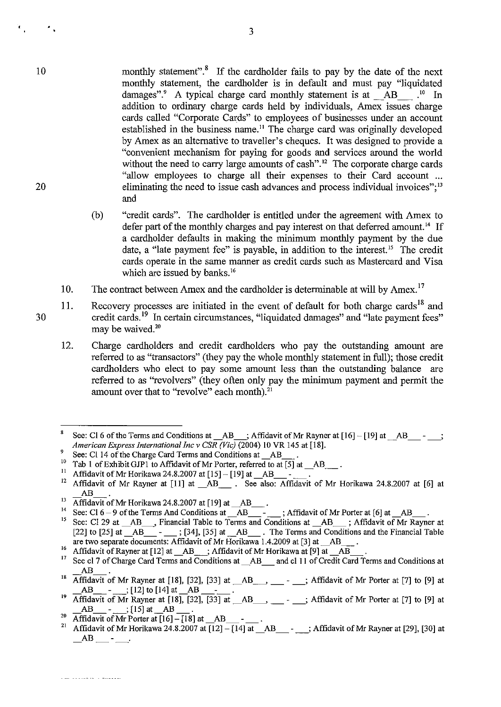- monthly statement". $8$  If the cardholder fails to pay by the date of the next monthly statement, the cardholder is in default and must pay "liquidated damages".<sup>9</sup> A typical charge card monthly statement is at  $\overrightarrow{AB}$ .<sup>10</sup> In addition to ordinary charge cards held by individuals, Amex issues charge cards called "Corporate Cards" to employees of businesses under an account established in the business name." The charge card was originally developed by Amex as an alternative to traveller's cheques. It was designed to provide a "convenient mechanism for paying for goods and services around the world without the need to carry large amounts of cash".<sup>12</sup> The corporate charge cards "allow employees to charge all their expenses to their Card account ... eliminating the need to issue cash advances and process individual invoices":<sup>13</sup> and
- (b) "credit cards". The cardholder is entitled under the agreement with Amex to defer part of the monthly charges and pay interest on that deferred amount.<sup>14</sup> If a cardholder defaults in making the minimum monthly payment by the due date, a "late payment fee" is payable, in addition to the interest.<sup>15</sup> The credit cards operate in the same manner as credit cards such as Mastercard and Visa which are issued by banks.<sup>16</sup>
- 10. The contract between Amex and the cardholder is determinable at will by Amex.<sup>17</sup>
- 11. Recovery processes are initiated in the event of default for both charge cards<sup>18</sup> and credit cards. 19 In certain circumstances, "liquidated damages" and "late payment fees" may be waived.<sup>20</sup>
	- 12. Charge cardholders and credit cardholders who pay the outstanding amount are referred to as "transactors" (they pay the whole monthly statement in full); those credit cardholders who elect to pay some amount less than the outstanding balance are referred to as "revolvers" (they often only pay the minimum payment and permit the amount over that to "revolve" each month).<sup>21</sup>

. 22 . 22 . 22 . 22 . 23 . 24 . 22 . 22

10

 $\cdot$  .

<sup>&</sup>lt;sup>8</sup> See: CI 6 of the Terms and Conditions at AB ; Affidavit of Mr Rayner at  $[16] - [19]$  at AB -; *American Express InternationalIncv CSR (Vic)* (2004) 10 VR 145 at [18].

<sup>9</sup> See: CI 14 of the Charge Card Terms and Conditions at  $\overline{AB}$ .<br><sup>10</sup> Teb 1 of Exhibit GIB1 to Affidavit of Mr Porter referred to at

<sup>&</sup>lt;sup>10</sup> Tab 1 of Exhibit GJP1 to Affidavit of Mr Porter, referred to at [5] at  $\_\text{AB}$ .

<sup>&</sup>lt;sup>11</sup> Affidavit of Mr Horikawa 24.8.2007 at  $[15]$  –  $[19]$  at  $[AB]$ <br><sup>12</sup> Affidavit of Mr Barman at  $[11]$  at . AB

Affidavit of Mr Rayner at [11] at \_AB\_. See also: Affidavit of Mr Horikawa 24.8.2007 at [6] at AB

<sup>&</sup>lt;sup>13</sup> Affidavit of Mr Horikawa 24.8.2007 at  $[19]$  at  $\overline{AB}$ .

<sup>&</sup>lt;sup>13</sup> Affidavit of Mr Horikawa 24.8.2007 at [19] at  $\_\_AB\_\_$ .<br><sup>14</sup> See: Cl 6 – 9 of the Terms And Conditions at  $\_\_AB\_\_$ - ; Affidavit of Mr Porter at [6] at  $\_\_AB\_\_$ .

<sup>&</sup>lt;sup>15</sup> See: Cl 29 at  $\_\_AB$ , Financial Table to Terms and Conditions at  $\_\_AB$ ; Affidavit of Mr Rayner at [22] to [25] at  $\_\_AB$  -  $\_\_$ ; [34], [35] at  $\_\_AB$ . The Terms and Conditions and the Financial Table are two separate documents: Affidavit of Mr Horikawa 1.4.2009 at [3] at  $\_\_AB$ .

<sup>16</sup> Affidavit of Rayner at  $[12]$  at  $\_AB$ . Affidavit of Mr Horikawa at  $[9]$  at  $\_AB$ .

<sup>&</sup>lt;sup>17</sup> See cl 7 of Charge Card Terms and Conditions at \_AB\_ and cl 11 of Credit Card Terms and Conditions at  $AB$   $\overline{\phantom{a}}$ .<br>
<sup>18</sup> Affidavit of Mr Rayner at [18], [32], [33] at  $\overline{\phantom{a}}$  AB $\overline{\phantom{a}}$ ,  $\overline{\phantom{a}}$  at  $\overline{\phantom{a}}$  Affidavit of Mr Porter at [7] to [9] at

 $AB = -$ ;  $[12]$  to  $[14]$  at  $AB = -$ .

 $19 \overline{AB}$  -  $\overline{\phantom{A}}$ ; [12] to [14] at  $\overline{AB}$  -  $\overline{\phantom{A}}$ .<br>
Affidavit of Mr Rayner at [18], [32], [33] at  $\overline{\phantom{A}}$ AB  $\overline{\phantom{A}}$  -  $\overline{\phantom{A}}$ ; Affidavit of Mr Porter at [7] to [9] at  $AB$   $[15]$  at  $AB$ 

<sup>&</sup>lt;sup>20</sup>Affidavit of Mr Porter at  $[16]$  -  $[18]$  at  $\_\_AB$ <br><sup>21</sup> Affidavit of Mr Usrileave 24, 8,2007 at  $[12]$ 

<sup>&</sup>lt;sup>21</sup> Affidavit of Mr Porter at [16] – [18] at \_\_AB\_\_\_ - \_\_\_\_.<br><sup>21</sup> Affidavit of Mr Horikawa 24.8.2007 at [12] – [14] at \_\_AB\_\_\_ - \_\_\_; Affidavit of Mr Rayner at [29], [30] at AB --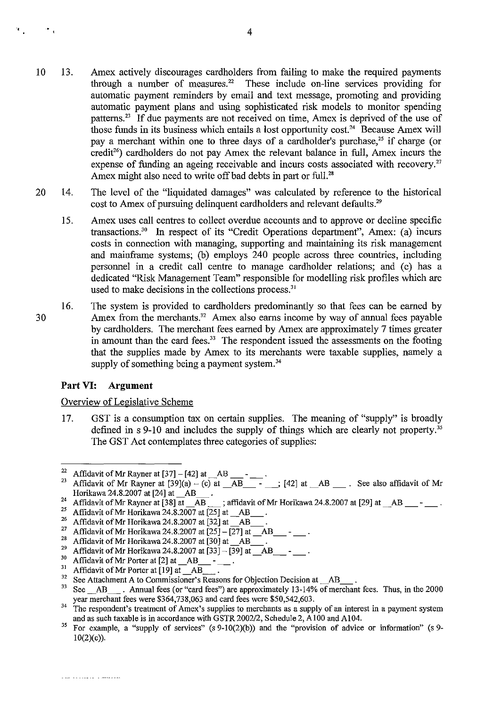- 10 13. Amex actively discourages cardholders from failing to make the required payments through a number of measures.<sup>22</sup> These include on-line services providing for These include on-line services providing for automatic payment reminders by email and text message, promoting and providing automatic payment plans and using sophisticated risk models to monitor spending patterns.23 If due payments are not received on time, Amex is deprived of the use of those funds in its business which entails a lost opportunity cost.24 Because Amex will pay a merchant within one to three days of a cardholder's purchase,<sup>25</sup> if charge (or credit<sup>26</sup>) cardholders do not pay Amex the relevant balance in full, Amex incurs the expense of funding an ageing receivable and incurs costs associated with recovery.<sup>27</sup> Amex might also need to write off bad debts in part or full.<sup>28</sup>
- 20 14. The level of the "liquidated damages" was calculated by reference to the historical cost to Amex of pursuing delinquent cardholders and relevant defaults.<sup>29</sup>
	- 15. Amex uses call centres to collect overdue accounts and to approve or decline specific transactions.3• In respect of its "Credit Operations department", Amex: (a) incurs costs in connection with managing, supporting and maintaining its risk management and mainfrarne systems; (b) employs 240 people across three countries, including personnel in a credit call centre to manage cardholder relations; and (c) has a dedicated "Risk Management Team" responsible for modelling risk profiles which are used to make decisions in the collections process.<sup>31</sup>
- 30 16. The system is provided to cardholders predominantly so that fees can be earned by Amex from the merchants.<sup>32</sup> Amex also earns income by way of annual fees payable by cardholders. The merchant fees earned by Amex are approximately 7 times greater in amount than the card fees. $33$  The respondent issued the assessments on the footing that the supplies made by Amex to its merchants were taxable supplies, namely a supply of something being a payment system.<sup>34</sup>

#### **Part VI: Argument**

 $\mathbf{r}_\perp$ 

 $\mathcal{P}_{\mathcal{A}}$ 

#### Overview of Legislative Scheme

17. GST is a consumption tax on certain supplies. The meaning of "supply" is broadly defined in s 9-10 and includes the supply of things which are clearly not property." The GST Act contemplates three categories of supplies:

 $\overline{P^2$  Affidavit of Mr Rayner at [37] - [42] at  $\overline{AB}$   $\overline{AB}$  -

<sup>23</sup> Affidavit of Mr Rayner at [39](a) - (c) at \_AB\_ - \_; [42] at \_AB \_. See also affidavit of Mr Horikawa 24.8.2007 at [24] at \_AB\_.

<sup>&</sup>lt;sup>24</sup> Affidavit of Mr Rayner at  $\overline{[38] \text{ at } -\overline{AB}}$ ; affidavit of Mr Horikawa 24.8.2007 at  $[29]$  at  $\overline{AB}$  \_\_\_\_\_\_.

<sup>&</sup>lt;sup>25</sup> Affidavit of Mr Horikawa 24.8.2007 at  $\left[25\right]$  at \_AB.

<sup>&</sup>lt;sup>26</sup> Affidavit of Mr Horikawa 24.8.2007 at [32] at  $\frac{AB}{27}$ .

<sup>&</sup>lt;sup>27</sup> Affidavit of Mr Horikawa 24.8.2007 at  $[25] - [27]$  at  $[AB]$ <br><sup>28</sup> Affidavit of Mu Harilanus 24.8.2007 at  $[20]$  at  $[AD]$ 

<sup>&</sup>lt;sup>28</sup> Affidavit of Mr Horikawa 24.8.2007 at [30] at \_AB.<br><sup>29</sup> Affidavit of Mr Hariltone 24.8.2007 at [22].

<sup>&</sup>lt;sup>29</sup> Affidavit of Mr Horikawa 24.8.2007 at  $[33] - [39]$  at  $\_\_AB$ <br><sup>30</sup> Affidavit of Mr Bortan at  $[3]$  at  $\_\_AB$ 

<sup>&</sup>lt;sup>30</sup> Affidavit of Mr Porter at [2] at  $\_\text{AB}$ <br><sup>31</sup> Affidavit of Mr Portugal L101 at  $\_\text{AB}$ 

<sup>&</sup>lt;sup>31</sup> Affidavit of Mr Porter at [19] at  $\_\_AB$ <br><sup>32</sup> See Attochment A to Commissioner's

<sup>&</sup>lt;sup>32</sup> See Attachment A to Commissioner's Reasons for Objection Decision at  $\_\text{AB}$ <br><sup>33</sup> See AB. Annual fees (or "card fees") are approximately 13-14% of mer

 $\ldots$  Annual fees (or "card fees") are approximately 13-14% of merchant fees. Thus, in the 2000 year merchant fees were \$364,738,063 and card fees were \$50,542,603.

<sup>&</sup>lt;sup>34</sup> The respondent's treatment of Amex's supplies to merchants as a supply of an interest in a payment system and as such taxable is in accordance with *GSTR2002/2,* Schedule 2, AIOO and AI04.

<sup>&</sup>lt;sup>35</sup> For example, a "supply of services" (s  $9-10(2)(b)$ ) and the "provision of advice or information" (s  $9 10(2)(c)$ ).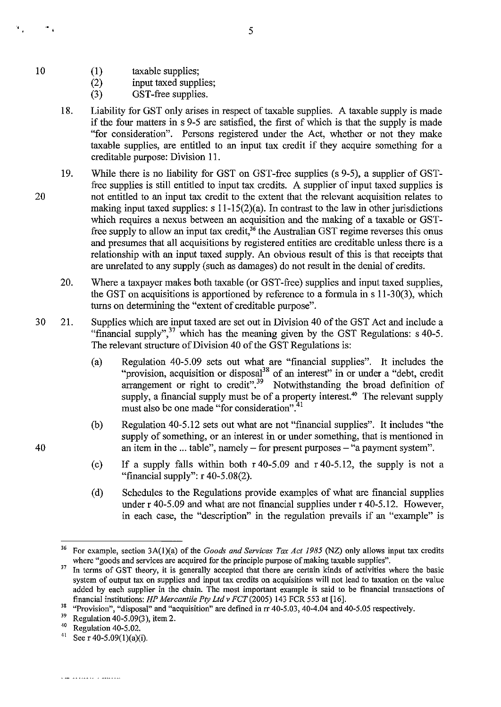(1) taxable supplies;

(2) input taxed supplies;

(3) GST-free supplies.

- 18. Liability for GST only arises in respect of taxable supplies. A taxable supply is made if the four matters in s 9-5 are satisfied, the first of which is that the supply is made "for consideration". Persons registered under the Act, whether or not they make taxable supplies, are entitled to an input tax credit if they acquire something for a creditable purpose: Division 11.
- 19. While there is no liability for GST on GST-free supplies (s 9-5), a supplier of GSTfree supplies is still entitled to input tax credits. A supplier of input taxed supplies is not entitled to an input tax credit to the extent that the relevant acquisition relates to making input taxed supplies:  $s 11-15(2)(a)$ . In contrast to the law in other jurisdictions which requires a nexus between an acquisition and the making of a taxable or GSTfree supply to allow an input tax credit,<sup>36</sup> the Australian GST regime reverses this onus and presumes that all acquisitions by registered entities are creditable unless there is a relationship with an input taxed supply. An obvious result of this is that receipts that are unrelated to any supply (such as damages) do not result in the denial of credits.
	- 20. Where a taxpayer makes both taxable (or GST-free) supplies and input taxed supplies, the GST on acquisitions is apportioned by reference to a formula in s 11-30(3), which turns on determining the "extent of creditable purpose".
- 30 21. Supplies which are input taxed are set out in Division 40 of the GST Act and include a "financial supply", $37$  which has the meaning given by the GST Regulations: s 40-5. The relevant structure of Division 40 of the GST Regulations is:
	- (a) Regulation 40-5.09 sets out what are "financial supplies". It includes the "provision, acquisition or disposal<sup>38</sup> of an interest" in or under a "debt, credit arrangement or right to credit".<sup>39</sup> Notwithstanding the broad definition of supply, a financial supply must be of a property interest.<sup>40</sup> The relevant supply must also be one made "for consideration".<sup>41</sup>
	- (b) Regulation 40-5.12 sets out what are not "financial supplies". It includes "the supply of something, or an interest in or under something, that is mentioned in an item in the ... table", namely  $-$  for present purposes  $-$  "a payment system".
	- (c) If a supply falls within both r 40-5.09 and r 40-5.12, the supply is not a "financial supply":  $r 40-5.08(2)$ .
	- (d) Schedules to the Regulations provide examples of what are financial supplies under r 40-5.09 and what are not financial supplies under r 40-5.12. However, in each case, the "description" in the regulation prevails if an "example" is

40

10

 $\sim$  .

<sup>&</sup>lt;sup>36</sup> For example, section 3A(1)(a) of the *Goods and Services Tax Act 1985* (NZ) only allows input tax credits where "goods and services are acquired for the principle purpose of making taxable supplies".

<sup>&</sup>lt;sup>37</sup> In terms of GST theory, it is generally accepted that there are certain kinds of activities where the basic system of output tax on supplies and input tax credits on acquisitions will not lead to taxation on the value added by each supplier in the chain. The most important example is said to be financial transactions of financial institutions: *HP Mercantile Pty Ltd v FCT* (2005) 143 FCR 553 at [16].

<sup>&</sup>lt;sup>38</sup> "Provision", "disposal" and "acquisition" are defined in  $\text{Tr } 40-5.03$ , 40-4.04 and 40-5.05 respectively.

<sup>&</sup>lt;sup>39</sup> Regulation 40-5.09(3), item 2.<br><sup>40</sup> Perulation 40.5.02

<sup>&</sup>lt;sup>40</sup> Regulation 40-5.02.<br><sup>41</sup> See r 40-5.09(1)(a)

See r 40-5.09(1)(a)(i).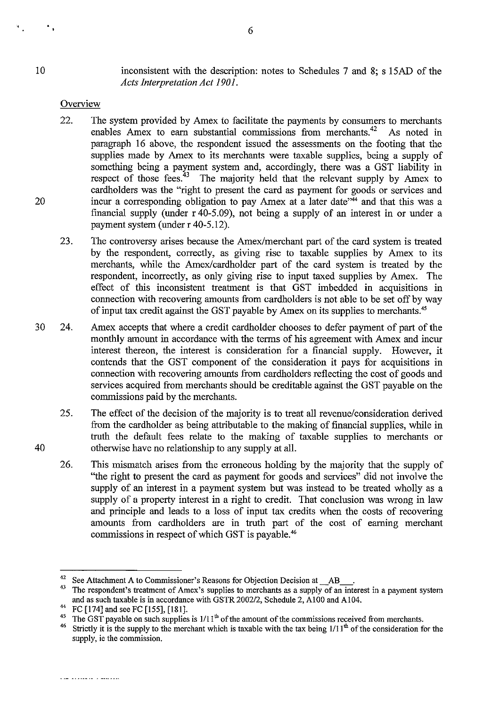$\ddot{\bullet}$ 

20

40

inconsistent with the description: notes to Schedules 7 and 8; s 15AD of the *Acts Interpretation Act 1901.* 

#### **Overview**

- 22. The system provided by Amex to facilitate the payments by consumers to merchants enables Amex to earn substantial commissions from merchants.<sup>42</sup> As noted in enables Amex to earn substantial commissions from merchants.<sup>42</sup> paragraph 16 above, the respondent issued the assessments on the footing that the supplies made by Amex to its merchants were taxable supplies, being a supply of something being a payment system and, accordingly, there was a GST liability in respect of those fees.<sup>43</sup> The majority held that the relevant supply by Amex to The majority held that the relevant supply by Amex to cardholders was the "right to present the card as payment for goods or services and incur a corresponding obligation to pay Amex at a later date<sup> $344$ </sup> and that this was a fmancial supply (under r 40-5.09), not being a supply of an interest in or under a payment system (under r 40-5.12).
- 23. The controversy arises because the Amex/merchant part of the card system is treated by the respondent, correctly, as giving rise to taxable supplies by Amex to its merchants, while the Amex/cardholder part of the card system is treated by the respondent, incorrectly, as only giving rise to input taxed supplies by Amex. The effect of this inconsistent treatment is that GST imbedded in acquisitions in connection with recovering amounts from cardholders is not able to be set off by way of input tax credit against the GST payable by Amex on its supplies to merchants:'
- 30 24. Amex accepts that where a credit cardholder chooses to defer payment of part of the monthly amount in accordance with the terms of his agreement with Amex and incur interest thereon, the interest is consideration for a fmancial supply. However, it contends that the GST component of the consideration it pays for acquisitions in connection with recovering amounts from cardholders reflecting the cost of goods and services acquired from merchants should be creditable against the GST payable on the commissions paid by the merchants.
	- 25. The effect of the decision of the majority is to treat all revenue/consideration derived from the cardholder as being attributable to the making of financial supplies, while in truth the default fees relate to the making of taxable supplies to merchants or otherwise have no relationship to any supply at all.
	- 26. This mismatch arises from the erroneous holding by the majority that the supply of "the right to present the card as payment for goods and services" did not involve the supply of an interest in a payment system but was instead to be treated wholly as a supply of a property interest in a right to credit. That conclusion was wrong in law and principle and leads to a loss of input tax credits when the costs of recovering amounts from cardholders are in truth part of the cost of earuing merchant commissions in respect of which GST is payable.<sup>46</sup>

 $\frac{1}{2}$   $\frac{1}{2}$   $\frac{1}{2}$   $\frac{1}{2}$   $\frac{1}{2}$   $\frac{1}{2}$   $\frac{1}{2}$   $\frac{1}{2}$   $\frac{1}{2}$   $\frac{1}{2}$   $\frac{1}{2}$   $\frac{1}{2}$   $\frac{1}{2}$   $\frac{1}{2}$   $\frac{1}{2}$   $\frac{1}{2}$   $\frac{1}{2}$   $\frac{1}{2}$   $\frac{1}{2}$   $\frac{1}{2}$   $\frac{1}{2}$   $\frac{1}{2}$ 

<sup>&</sup>lt;sup>42</sup> See Attachment A to Commissioner's Reasons for Objection Decision at  $\overline{AB}$ 

<sup>43</sup> The respondent's treatment of Amex's supplies to merchants as a supply of an interest in a payment system and as such taxable is in accordance with GSTR 200212, Schedule 2, AI00 and A104.

<sup>&</sup>lt;sup>44</sup> FC [174] and see FC [155], [181].

<sup>&</sup>lt;sup>45</sup> The GST payable on such supplies is  $1/11^{th}$  of the amount of the commissions received from merchants.<br><sup>46</sup> Strictly it is the supply to the merchant which is taxable with the tax being  $1/11^{th}$  of the consideratio

Strictly it is the supply to the merchant which is taxable with the tax being  $1/11<sup>th</sup>$  of the consideration for the supply, ie the commission.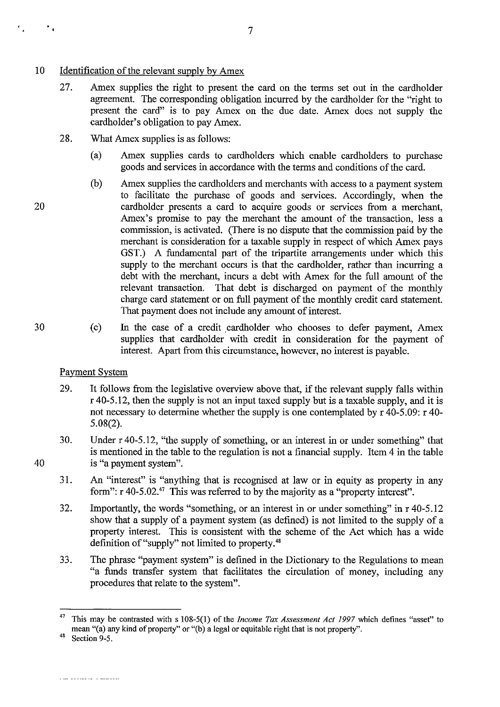- 10 Identification of the relevant supply by Arnex
	- 27. Arnex supplies the right to present the card on the terms set out in the cardholder agreement. The corresponding obligation incurred by the cardbo1der for the "right to present the card" is to pay Arnex on the due date. Arnex does not supply the cardholder's obligation to pay Amex.
	- 28. What Amex supplies is as follows:
		- (a) Arnex supplies cards to cardbolders which enable cardholders to purchase goods and services in accordance with the tenns and conditions of the card.
	- (b) Arnex supplies the cardholders and merchants with access to a payment system to facilitate the purchase of goods and services. Accordingly, when the cardholder presents a card to acquire goods or services from a merchant, Amex's promise to pay the merchant the amount of the transaction, less a commission, is activated. (There is no dispute that the commission paid by the merchant is consideration for a taxable supply in respect of which Arnex pays GST.) A fundamental part of the tripartite arrangements under which this supply to the merchant occurs is that the cardholder, rather than incurring a debt with the merchant, incurs a debt with Amex for the full amount of the relevant transaction. That debt is discharged on payment of the monthly That debt is discharged on payment of the monthly charge card statement or on full payment of the monthly credit card statement. That payment does not include any amount of interest.
	- (c) In the case of a credit cardholder who chooses to defer payment, Amex supplies that cardbolder with credit in consideration for the payment of interest. Apart from this circumstance, however, no interest is payable.

#### Payment System

- 29. It follows from the legislative overview above that, if the relevant supply falls within  $r$  40-5.12, then the supply is not an input taxed supply but is a taxable supply, and it is not necessary to detennine whether the supply is one contemplated by r 40-5.09: r 40- 5.08(2).
- 30. Under r 40-5.12, "the supply of something, or an interest in or under something" that is mentioned in the table to the regulation is not a fmancial supply. Item 4 in the table is "a payment system".
- 31. An "interest" is "anything that is recognised at law or in equity as property in any form":  $r 40-5.02$ .<sup>47</sup> This was referred to by the majority as a "property interest".
- 32. Importantly, the words "something, or an interest in or under something" in r 40-5.12 show that a supply of a payment system (as defined) is not limited to the supply of a property interest. This is consistent with the scheme of the Act which has a wide definition of "supply" not limited to property.<sup>48</sup>
- 33. The phrase "payment system" is defmed in the Dictionary to the Regulations to mean "a funds transfer system that facilitates the circulation of money, including any procedures that relate to the system".

30

40

20

 $\mathbf{r}_\mathrm{A}$ 

<sup>4&#</sup>x27; This may be contrasted with s 108-5(1) of the *Income Tax Assessment Act* 1997 which defines "asset" to mean "(a) any kind of property" or "(b) a legal or equitable right that is not property".

 $48$  Section 9-5.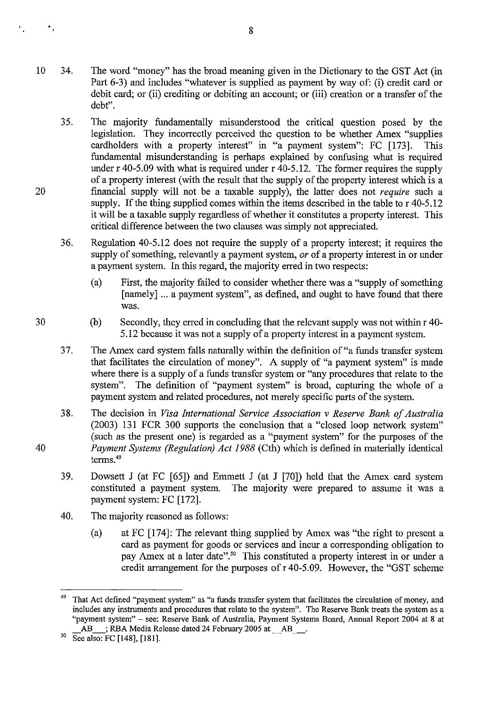- 10 34. The word "money" has the broad meaning given in the Dictionary to the GST Act (in Part 6-3) and includes "whatever is supplied as payment by way of: (i) credit card or debit card; or (ii) crediting or debiting an account; or (iii) creation or a transfer of the debt".
	- 35. The majority fundamentally misunderstood the critical question posed by the legislation. They incorrectly perceived the question to be whether Amex "supplies cardbolders with a property interest" in "a payment system": FC [173]. This fundamental misunderstanding is perhaps explained by confusing what is required under r 40-5.09 with what is required under r 40-5.12. The former requires the supply of a property interest (with the result that the supply of the property interest which is a fmancial supply will not be a taxable supply), the latter does not *require* such a supply. If the thing supplied comes within the items described in the table to r 40-5.12 it will be a taxable supply regardless of whether it constitutes a property interest. This critical difference between the two clauses was simply not appreciated.
	- 36. Regulation 40-5.12 does not require the supply of a property interest; it requires the supply of something, relevantly a payment system, *or* of a property interest in or under a payment system. **In** this regard, the majority erred in two respects:
		- (a) First, the majority failed to consider whether there was a "supply of something [namely] ... a payment system", as defined, and ought to have found that there was.
		- (b) Secondly, they erred in concluding that the relevant supply was not within r 40- 5.12 because it was not a supply of a property interest in a payment system.
	- 37. The Amex card system falls naturally within the definition of "a funds transfer system that facilitates the circulation of money". A supply of "a payment system" is made where there is a supply of a funds transfer system or "any procedures that relate to the system". The definition of "payment system" is broad, capturing the whole of a payment system and related procedures, not merely specific parts of the system.
	- 38. The decision in *Visa International Service Association v Reserve Bank of Australia*  (2003) 131 FCR 300 supports the conclusion that a "closed loop network system" (such as the present one) is regarded as a "payment system" for the purposes of the *Payment Systems (Regulation) Act* 1988 (Cth) which is defined in materially identical terms.<sup>49</sup>
	- 39. Dowsett J (at FC [65]) and Emmett J (at J [70]) held that the Amex card system constituted a payment system. The majority were prepared to assume it was a payment system: FC [172].
	- 40. The majority reasoned as follows:
		- (a) at FC [174]: The relevant thing supplied by Amex was "the right to present a card as payment for goods or services and incur a corresponding obligation to pay Amex at a later date".<sup>50</sup> This constituted a property interest in or under a credit arrangement for the purposes of r 40-5.09. However, the "GST scheme

20

 $\bar{\mathbf{r}}_i$ 

That Act defined "payment system" as "a funds transfer system that facilitates the circulation of money, and includes any instruments and procedures that relate to the system". The Reserve Bank treats the system as a "payment system" – see: Reserve Bank of Australia, Payment Systems Board, Annual Report 2004 at 8 at AB : RBA Media Release dated 24 February 2005 at AB ; RBA Media Release dated 24 February 2005 at AB

 $50\text{}$  See also: FC [148], [181].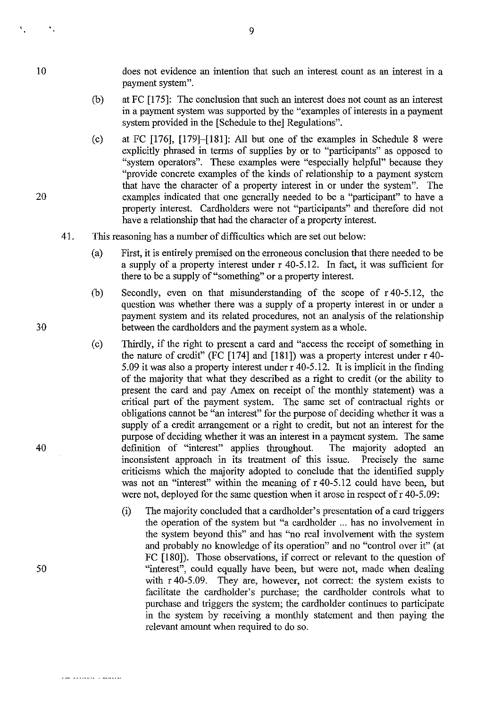$\mathbf{v}_\mathrm{a}$ 

does not evidence an intention that such an interest count as an interest in a payment system".

- (b) at FC [175]: The conclusion that such an interest does not count as an interest in a payment system was supported by the "examples of interests in a payment system provided in the [Schedule to the] Regulations".
- (c) at FC [176], [179]-[181]: All but one of the examples in Schedule 8 were explicitly phrased in terms of supplies by or to "participants" as opposed to "system operators". These examples were "especially helpful" because they "provide concrete examples of the kinds of relationship to a payment system that have the character of a property interest in or under the system". The examples indicated that one generally needed to be a "participant" to have a property interest. Cardholders were not "participants" and therefore did not have a relationship that had the character of a property interest.
- 41. This reasoning has a number of difficulties which are set out below:
	- (a) First, it is entirely premised on the erroneous conclusion that there needed to be a supply of a property interest under r 40-5.12. In fact, it was sufficient for there to be a supply of "something" or a property interest.
	- (b) Secondly, even on that misunderstanding of the scope of r 40-5.12, the question was whether there was a supply of a property interest in or under a payment system and its related procedures, not an analysis of the relationship between the cardholders and the payment system as a whole.
	- (c) Thirdly, if the right to present a card and "access the receipt of something in the nature of credit" (FC [174] and [181]) was a property interest under r 40- 5.09 it was also a property interest under r 40-5.12. It is implicit in the fmding of the majority that what they described as a right to credit (or the ability to present the card and pay Amex on receipt of the monthly statement) was a critical part of the payment system. The same set of contractual rights or obligations carmot be "an interest" for the purpose of deciding whether it was a supply of a credit arrangement or a right to credit, but not an interest for the purpose of deciding whether it was an interest in a payment system. The same definition of "interest" applies throughout. The majority adopted an inconsistent approach in its treatment of this issue. Precisely the same criticisms which the majority adopted to conclude that the identified supply was not an "interest" within the meaning of r 40-5.12 could have been, but were not, deployed for the same question when it arose in respect of r 40-5.09:
		- (i) The majority concluded that a cardholder's presentation of a card triggers the operation of the system but "a cardholder ... has no involvement in the system beyond this" and has "no real involvement with the system and probably no knowledge of its operation" and no "control over it" (at FC [180]). Those observations, if correct or relevant to the question of "interest", could equally have been, but were not, made when dealing with r 40-5.09. They are, however, not correct: the system exists to facilitate the cardholder's purchase; the cardholder controls what to purchase and triggers the system; the cardholder continues to participate in the system by receiving a monthly statement and then paying the relevant amount when required to do so.

30

20

40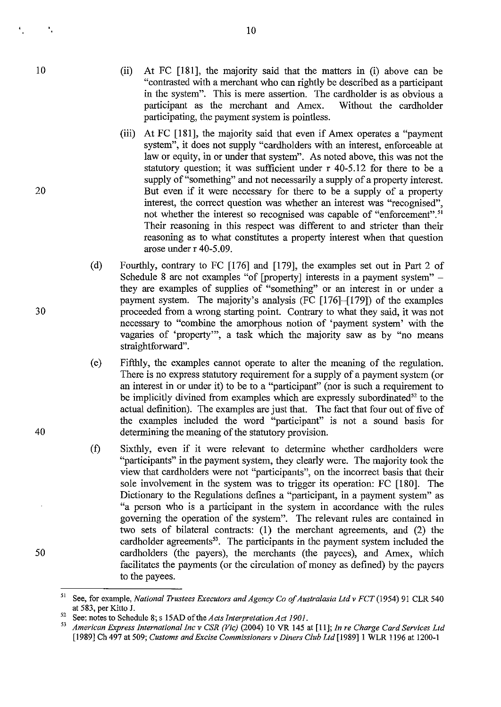$\mathbf{r}_i$ 

20

(ii) At FC [181], the majority said that the matters in (i) above can be "contrasted with a merchant who can rightly be described as a participant in the system". This is mere assertion. The cardholder is as obvious a participant as the merchant and Amex. Without the cardholder participating, the payment system is pointless.

10

- (iii) At FC [181], the majority said that even if Amex operates a "payment system", it does not supply "cardholders with an interest, enforceable at law or equity, in or under that system". As noted above, this was not the statutory question; it was sufficient under r 40-5.12 for there to be a supply of "something" and not necessarily a supply of a property interest. But even if it were necessary for there to be a supply of a property interest, the correct question was whether an interest was "recognised", not whether the interest so recognised was capable of "enforcement".<sup>51</sup> Their reasoning in this respect was different to and stricter than their reasoning as to what constitutes a property interest when that question arose under r 40-5.09.
- (d) Fourthly, contrary to FC [176] and [179], the examples set out in Part 2 of Schedule 8 are not examples "of [property] interests in a payment system" – they are examples of supplies of "something" or an interest in or under a payment system. The majority's analysis (FC [176]-[179]) of the examples proceeded from a wrong starting point. Contrary to what they said, it was not necessary to "combine the amorphous notion of 'payment system' with the vagaries of 'property"', a task which the majority saw as by "no means straightforward".
- (e) Fifthly, the examples cannot operate to alter the meaning of the regulation. There is no express statutory requirement for a supply of a payment system (or an interest in or under it) to be to a "participant" (nor is such a requirement to be implicitly divined from examples which are expressly subordinated<sup>52</sup> to the actual definition). The examples are just that. The fact that four out of five of the examples included the word "participant" is not a sound basis for determining the meaning of the statutory provision.
- (t) Sixthly, even if it were relevant to determine whether cardholders were "participants" in the payment system, they clearly were. The majority took the view that cardholders were not "participants", on the incorrect basis that their sole involvement in the system was to trigger its operation: FC [180]. The Dictionary to the Regulations defines a "participant, in a payment system" as "a person who is a participant in the system in accordance with the rules governing the operation of the system". The relevant rules are contained in two sets of bilateral contracts: (1) the merchant agreements, and (2) the cardholder agreements<sup>53</sup>. The participants in the payment system included the cardholders (the payers), the merchants (the payees), and Amex, which facilitates the payments (or the circulation of money as defined) by the payers to the payees.

30

40

<sup>51</sup> See, for example, *National Trustees Executors and Agency Co of Australasia Ltd* v *FCT* (1954) 91 CLR 540 at 583, per Kitto J.

<sup>&</sup>lt;sup>52</sup> See: notes to Schedule 8; s 15AD of the *Acts Interpretation Act 1901*.

*<sup>53</sup> American Express International Inc* v *CSR (Vic)* (2004) 10 VR 145 at [11]; *In re Charge Card Services Ltd*  [1989] Ch 497 at 509; *Customs and Excise Commissioners* v *Diners Club Lld* [1989]1 WLR 1196 at 1200-1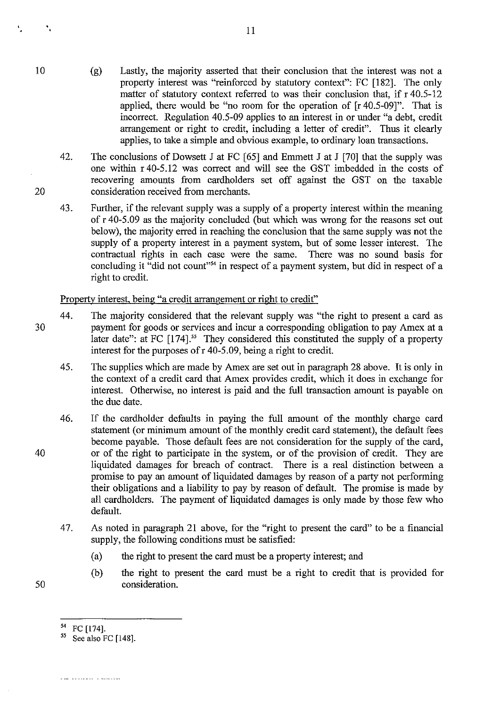- (g) Lastly, the majority asserted that their conclusion that the interest was not a property interest was "reinforced by statutory context": FC [182]. The only matter of statutory context referred to was their conclusion that, if r 40.5-12 applied, there would be "no room for the operation of [r 40.5-09]". That is incorrect. Regulation 40.5-09 applies to an interest in or under "a debt, credit arrangement or right to credit, including a letter of credit". Thus it clearly applies, to take a simple and obvious example, to ordinary loan transactions.
- 42. The conclusions of Dowsett J at FC  $[65]$  and Emmett J at J  $[70]$  that the supply was one within r 40-5.12 was correct and will see the GST imbedded in the costs of recovering amounts from cardholders set off against the GST on the taxable consideration received from merchants.
- 43. Further, if the relevant supply was a supply of a property interest within the meaning of r 40-5.09 as the majority concluded (but which was wrong for the reasons set out below), the majority erred in reaching the conclusion that the same supply was not the supply of a property interest in a payment system, but of some lesser interest. The contractual rights in each case were the same. There was no sound basis for concluding it "did not count"<sup>54</sup> in respect of a payment system, but did in respect of a right to credit.

Property interest, being "a credit arrangement or right to credit"

- 30 44. The majority considered that the relevant supply was "the right to present a card as payment for goods or services and incur a corresponding obligation to pay Amex at a later date": at FC  $[174]$ .<sup>55</sup> They considered this constituted the supply of a property interest for the purposes of  $r$  40-5.09, being a right to credit.
	- 45. The supplies which are made by Amex are set out in paragraph 28 above. It is only in the context of a credit card that Amex provides credit, which it does in exchange for interest. Otherwise, no interest is paid and the full transaction amount is payable on the due date.
	- 46. If the cardholder defaults in paying the full amount of the monthly charge card statement (or minimum amount of the monthly credit card statement), the default fees become payable. Those default fees are not consideration for the supply of the card, or of the right to participate in the system, or of the provision of credit. They are liquidated damages for breach of contract. There is a real distinction between a promise to pay an amount of liquidated damages by reason of a party not performing their obligations and a liability to pay by reason of default. The promise is made by all cardholders. The payment of liquidated damages is only made by those few who default.
		- 47. As noted in paragraph 21 above, for the "right to present the card" to be a financial supply, the following conditions must be satisfied:
			- (a) the right to present the card must be a property interest; and
			- (b) the right to present the card must be a right to credit that is provided for consideration.
		-

 $\overline{a}$   $\overline{a}$   $\overline{a}$   $\overline{a}$   $\overline{a}$   $\overline{a}$   $\overline{a}$   $\overline{a}$   $\overline{a}$   $\overline{a}$   $\overline{a}$   $\overline{a}$   $\overline{a}$   $\overline{a}$   $\overline{a}$   $\overline{a}$   $\overline{a}$   $\overline{a}$   $\overline{a}$   $\overline{a}$   $\overline{a}$   $\overline{a}$   $\overline{a}$   $\overline{a}$   $\overline{$ 

11

50

40

10

 $\ddot{\phantom{a}}$ 

 $\mathbf{r}_i$ 

 $^{54}$  FC [174]. See also FC [148].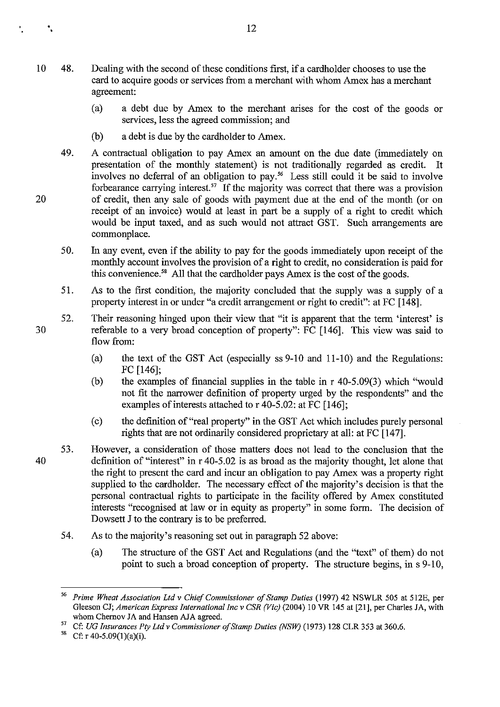- 10 48. Dealing with the second of these conditions first, if a cardholder chooses to use the card to acquire goods or services from a merchant with whom Amex has a merchant agreement:
	- (a) a debt due by Amex to the merchant arises for the cost of the goods or services, less the agreed commission; and
	- (b) a debt is due by the cardholder to Amex.
	- 49. A contractual obligation to pay Amex an amount on the due date (immediately on presentation of the monthly statement) is not traditionally regarded as credit. It involves no deferral of an obligation to pay.56 Less still could it be said to involve forbearance carrying interest.<sup>57</sup> If the majority was correct that there was a provision of credit, then any sale of goods with payment due at the end of the month (or on receipt of an invoice) would at least in part be a supply of a right to credit which would be input taxed, and as such would not attract GST. Such arrangements are commonplace.
	- 50. In any event, even if the ability to pay for the goods immediately upon receipt of the monthly account involves the provision of a right to credit, no consideration is paid for this convenience.<sup>58</sup> All that the cardholder pays Amex is the cost of the goods.
	- 51. As to the first condition, the majority concluded that the supply was a supply of a property interest in or under "a credit arrangement or right to credit": at FC [148].
	- 52. Their reasoning hinged upon their view that "it is apparent that the term 'interest' is referable to a very broad conception of property": FC [146]. This view was said to flow from:
		- (a) the text of the GST Act (especially ss 9-10 and 11-10) and the Regulations: FC [146];
		- (b) the examples of financial supplies in the table in r 40-5.09(3) which "would not fit the narrower definition of property urged by the respondents" and the examples of interests attached to  $r$  40-5.02: at FC [146];
		- (c) the definition of "real property" in the GST Act which includes purely personal rights that are not ordinarily considered proprietary at all: at FC [147].
- 40 53. However, a consideration of those matters does not lead to the conclusion that the definition of "interest" in r 40-5.02 is as broad as the majority thought, let alone that the right to present the card and incur an obligation to pay Amex was a property right supplied to the cardholder. The necessary effect of the majority's decision is that the personal contractual rights to participate in the facility offered by Amex constituted interests "recognised at law or in equity as property" in some form. The decision of Dowsett J to the contrary is to be preferred.
	- 54. As to the majority's reasoning set out in paragraph 52 above:
		- (a) The structure of the GST Act and Regulations (and the "text" of them) do not point to such a broad conception of property. The structure begins, in s 9-10,

20

÷.

*<sup>56</sup> Prime Wheat Association Ltd* v *Chief Commissioner of Stamp Duties* (1997) 42 NSWLR 505 at 512E, per Gleeson CJ; *American Express International Inc* v *CSR (Vic)* (2004) 10 VR 145 at [21], per Charles JA, with whom Chemov JA and Hansen AJA agreed.

<sup>&</sup>lt;sup>57</sup> Cf: *UG Insurances Ply Ltd v Commissioner of Stamp Duties (NSW)* (1973) 128 CLR 353 at 360.6.<br><sup>58</sup> Cf: r 40-5 09(1)(2)(i)

Cf:  $r 40-5.09(1)(a)(i)$ .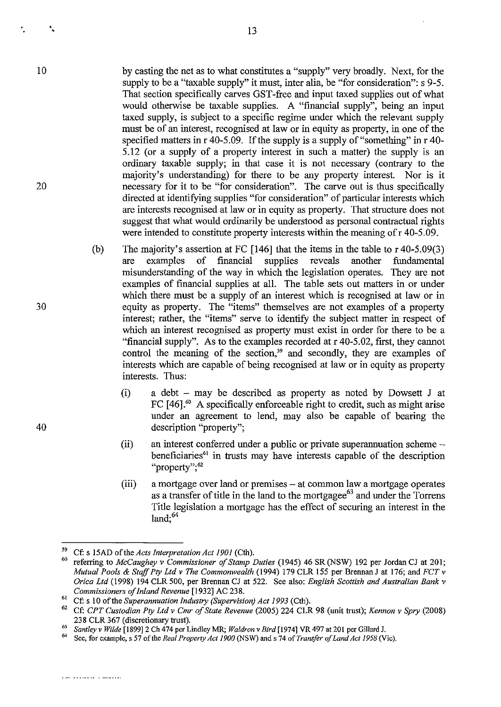by casting the net as to what constitutes a "supply" very broadly. Next, for the supply to be a "taxable supply" it must, inter alia, be "for consideration": s 9-5. That section specifically carves GST -free and input taxed supplies out of what would otherwise be taxable supplies. A "fmancial supply", being an input taxed supply, is subject to a specific regime under which the relevant supply must be of an interest, recognised at law or in equity as property, in one of the specified matters in r 40-5.09. If the supply is a supply of "something" in r 40- 5.12 (or a supply of a property interest in such a matter) the supply is an ordinary taxable supply; in that case it is not necessary (contrary to the majority's understanding) for there to be any property interest. Nor is it necessary for it to be "for consideration". The carve out is thus specifically directed at identifying supplies "for consideration" of particular interests which are interests recognised at law or in equity as property. That structure does not suggest that what would ordinarily be understood as personal contractual rights were intended to constitute property interests within the meaning of r 40-5.09.

- (b) The majority's assertion at FC [146] that the items in the table to r 40-5.09(3) are examples of financial supplies reveals another fundamental misunderstanding of the way in which the legislation operates. They are not examples of financial supplies at all. The table sets out matters in or under which there must be a supply of an interest which is recognised at law or in equity as property. The "items" themselves are not examples of a property interest; rather, the "items" serve to identify the subject matter in respect of which an interest recognised as property must exist in order for there to be a "financial supply". As to the examples recorded at  $r$  40-5.02, first, they cannot control the meaning of the section,<sup>59</sup> and secondly, they are examples of interests which are capable of being recognised at law or in equity as property interests. Thus:
	- (i) a debt  $-$  may be described as property as noted by Dowsett J at FC [46].<sup>60</sup> A specifically enforceable right to credit, such as might arise under an agreement to lend, may also be capable of bearing the description "property";
	- (ii) an interest conferred under a public or private superannuation scheme beneficiaries<sup>61</sup> in trusts may have interests capable of the description "property": 62
	- (iii) a mortgage over land or premises - at common law a mortgage operates as a transfer of title in the land to the mortgagee $^{63}$  and under the Torrens Title legislation a mortgage has the effect of securing an interest in the land;<sup>64</sup>

40

30

10

• •

<sup>59</sup> Cf: s 15AD of the *Acts Interpretation Act 1901* (Cth).

<sup>60</sup> referring to *McCaughey* v *Commissioner of Stamp Duties* (1945) 46 SR (NSW) 192 per Jordan CJ at 201; *Mutual Pools* & *Staff Ply Lld* v *The Commonwealth* (1994) 179 CLR 155 per Brennan J at 176; and *FCT* v *Orica Ltd* (1998) 194 CLR 500, per Brennan CJ at 522. See also: *English Scottish and Australian Bank* v *Commissioners of Inland Revenue* [1932] AC 238.

<sup>6!</sup> Cf: s 10 ofthe *Superannuation Industry (Supervision) Act* 1993 (Cth).

<sup>62</sup> Cf: *CPT Custodian Ply Lld* v *Cmr of State Revenue* (2005) 224 CLR 98 (unit trust); *Kennon* v *Spry (2008)*  238 CLR 367 (discretionary trust).

*<sup>63</sup> Santley* v *Wilde* [1899]2 Ch 474 per Lindley MR; *Waldron* v *Bird* [1974] VR 497 at 201 per Gillard J.

<sup>64</sup> See, for example, s 57 of the *Real Property Act 1900* (NSW) and s 74 of *Transfer of Land Act 1958* (Vic),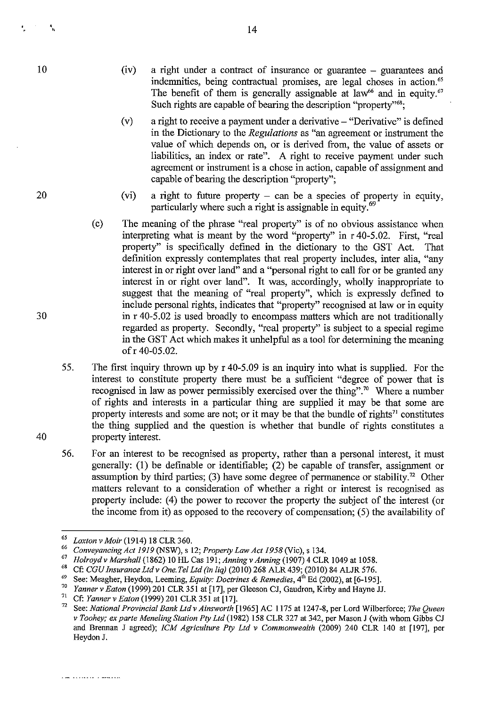20

- (iv) a right under a contract of insurance or guarantee - guarantees and indemnities, being contractual promises, are legal choses in action.<sup>65</sup> The benefit of them is generally assignable at law<sup>66</sup> and in equity.<sup>67</sup> Such rights are capable of bearing the description "property"<sup>68</sup>;
- (v) a right to receive a payment under a derivative  $-$  "Derivative" is defined in the Dictionary to the *Regulations* as "an agreement or instrument the value of which depends on, or is derived from, the value of assets or liabilities, an index or rate". A right to receive payment under such agreement or instrument is a chose in action, capable of assignment and capable of bearing the description "property";
- (vi) a right to future property  $-$  can be a species of property in equity, particularly where such a right is assignable in equity.<sup>69</sup>
- (c) The meaning of the phrase "real property" is of no obvious assistance when interpreting what is meant by the word "property" in r 40-5.02. First, "real property" is specifically defined in the dictionary to the GST Act. That definition expressly contemplates that real property includes, inter alia, "any interest in or right over land" and a "personal right to call for or be granted any interest in or right over land". It was, accordingly, wholly inappropriate to suggest that the meaning of "real property", which is expressly defined to include personal rights, indicates that "property" recognised at law or in equity in r 40-5.02 is used broadly to encompass matters which are not traditionally regarded as property. Secondly, "real property" is subject to a special regime in the GST Act which makes it unhelpful as a tool for determining the meaning of r 40-05.02.
- 55. The first inquiry thrown up by r 40-5.09 is an inquiry into what is supplied. For the interest to constitute property there must be a sufficient "degree of power that is recognised in law as power permissibly exercised over the thing".70 Where a number of rights and interests in a particular thing are supplied it may be that some are property interests and some are not; or it may be that the bundle of rights<sup>71</sup> constitutes the thing supplied and the question is whether that bundle of rights constitutes a property interest.
- 56. For an interest to be recognised as property, rather than a personal interest, it must generally: (1) be defmable or identifiable; (2) be capable of transfer, assignment or assumption by third parties; (3) have some degree of permanence or stability.<sup>72</sup> Other matters relevant to a consideration of whether a right or interest is recognised as property include: (4) the power to recover the property the subject of the interest (or the income from it) as opposed to the recovery of compensation; (5) the availability of

<sup>68</sup> Cf: *CGU Insurance Ltd v One. Tel Ltd (in liq)* (2010) 268 ALR 439; (2010) 84 ALJR 576.

30

*<sup>65</sup> Loxton v Moir* (1914) 18 CLR 360.

*<sup>66</sup> Conveyancing Act* 1919 (NSW), s 12; *Property Law Act 1958* (Vie), s 134.

<sup>67</sup>*Holroydv Marshal!* (1862) 10 HL Cas 191; *Anningv Anning* (1907) 4 CLR 1049 at 1058.

<sup>69</sup> See: Meagher, Heydon, Leeming, *Equity: Doctrines* & *Remedies,* 4th Ed (2002), at [6-195].

<sup>70</sup>*Yanner v Eaton* (1999) 201 CLR 351 at [17], per Gleeson CJ, Gaudron, Kirby and Hayne JJ.

<sup>71</sup>Cf: *Yanner v Eaton* (1999) 201 CLR351 at[17].

<sup>72</sup> See: *National Provincial Bank Ltd v Ainsworth* [1965] AC 1175 at 1247-8, per Lord Wilberforee; *The Queen v Toohey; ex parte Meneling Station Pty Ltd* (1982) 158 CLR 327 at 342, per Mason J (with whom Gibbs CJ and Brennan J agreed); *ICM Agriculture Pty Lld* v *Commonwealth* (2009) 240 CLR 140 at [197], per Heydon J.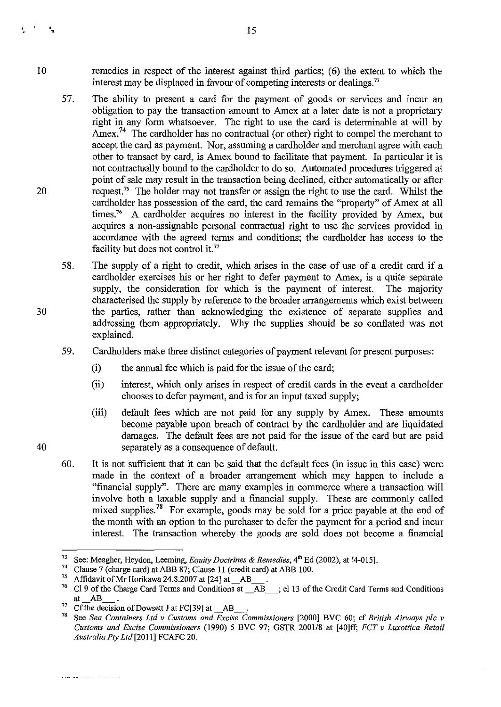- 10 remedies in respect of the interest against third parties; (6) the extent to which the interest may be displaced in favour of competing interests or dealings.<sup>73</sup>
	- 57. The ability to present a card for the payment of goods or services and incur an obligation to pay the transaction amount to Amex at a later date is not a proprietary right in any form whatsoever. The right to use the card is determinable at will by Amex.<sup>74</sup> The cardholder has no contractual (or other) right to compel the merchant to accept the card as payment. Nor, assuming a cardholder and merchant agree with each other to transact by card, is Amex bound to facilitate that payment. In particular it is not contractually bound to the cardholder to do so. Automated procedures triggered at point of sale may result in the transaction being declined, either automatically or after request.<sup>75</sup> The holder may not transfer or assign the right to use the card. Whilst the cardholder has possession of the card, the card remains the "property" of Amex at all times.<sup>76</sup> A cardholder acquires no interest in the facility provided by Amex, but acquires a non-assignable personal contractual right to use the services provided in accordance with the agreed terms and conditions; the cardholder has access to the facility but does not control it.<sup>77</sup>
	- 58. The supply of a right to credit, which arises in the case of use of a credit card if a cardholder exercises his or her right to defer payment to Amex, is a quite separate supply, the consideration for which is the payment of interest. The majority characterised the supply by reference to the broader arrangements which exist between the parties, rather than acknowledging the existence of separate supplies and addressing them appropriately. Why the supplies should be so conflated was not explained.
	- 59. Cardholders make three distinct categories of payment relevant for present purposes:
		- (i) the annual fee which is paid for the issue of the card;
		- (ii) interest, which only arises in respect of credit cards in the event a cardholder chooses to defer payment, and is for an input taxed supply;
		- (iii) default fees which are not paid for any supply by Amex. These amounts become payable upon breach of contract by the cardholder and are liquidated damages. The default fees are not paid for the issue of the card but are paid separately as a consequence of default.
	- 60. It is not sufficient that it can be said that the default fees (in issue in this case) were made in the context of a broader arrangement which may happen to include a "fmancial supply". There are many examples in commerce where a transaction will involve both a taxable supply and a financial supply. These are commonly called mixed supplies.<sup>78</sup> For example, goods may be sold for a price payable at the end of the month with an option to the purchaser to defer the payment for a period and incur interest. The transaction whereby the goods are sold does not become a financial

30

20

• «

 $\mathbf{u}$  and  $\mathbf{J}_{\mu\nu}$ 

<sup>73</sup> See: Meagher, Heydon, Leeming, *Equity Doctrines* & *Remedies,* 4th Ed (2002), at [4-015].

<sup>&</sup>lt;sup>74</sup> Clause 7 (charge card) at ABB 87; Clause 11 (credit card) at ABB 100.<br><sup>75</sup> Affidavit of Mr Harilanus 24, 8,2007 at [24] at  $\Delta$ B

<sup>&</sup>lt;sup>75</sup> Affidavit of Mr Horikawa 24.8.2007 at [24] at  $\_\_A^{76}$  Cl 9 of the Charge Card Terms and Conditions at

<sup>76</sup> Cl 9 of the Charge Card Tenns and Conditions at \_ AB\_; cl 13 of the Credit Card Tenns and Conditions  $at$ <sub> $AA$ B</sub> $.$ 

<sup>&</sup>lt;sup>77</sup> Cf the decision of Dowsett J at FC[39] at AB  $\ldots$ 

<sup>78</sup> See *Sea Containers Ltd* v *Customs and Excise Commissioners* [2000] BVC 60; cf *British Airways plc* v *Customs and Excise Commissioners* (1990) 5 BVC 97; GSTR 200118 at [40]ff; *FCr* v *Luxottica Retail Australia Pty Ltd[2011]* FCAFC 20.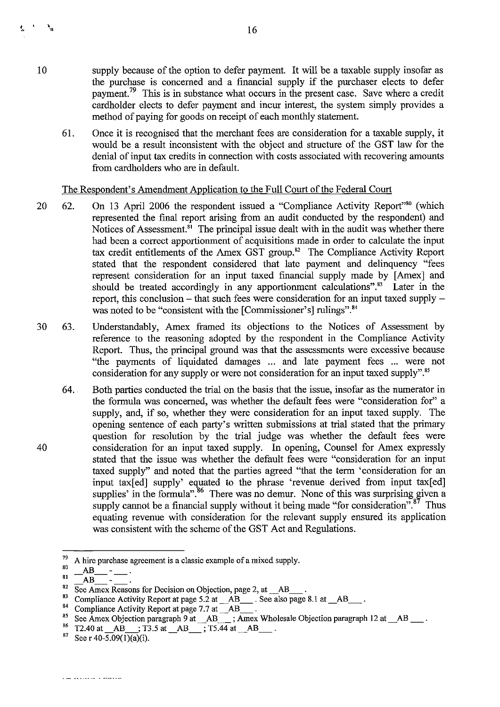- supply because of the option to defer payment. It will be a taxable supply insofar as the purchase is concerned and a financial supply if the purchaser elects to defer payment.<sup>79</sup> This is in substance what occurs in the present case. Save where a credit cardholder elects to defer payment and incur interest, the system simply provides a method of paying for goods on receipt of each monthly statement.
- 61. Once it is recognised that the merchant fees are consideration for a taxable supply, it would be a result inconsistent with the object and structure of the GST law for the denial of input tax credits in connection with costs associated with recovering amounts from cardholders who are in defanlt.

#### The Respondent's Amendment Application to the Full Court of the Federal Court

- 20 62. On 13 April 2006 the respondent issued a "Compliance Activity Report"<sup>30</sup> (which represented the final report arising from an audit conducted by the respondent) and Notices of Assessment.<sup> $\hat{s}$ </sup> The principal issue dealt with in the audit was whether there had been a correct apportionment of acquisitions made in order to calculate the input tax credit entitlements of the Amex GST group.<sup>82</sup> The Compliance Activity Report stated that the respondent considered that late payment and delinquency "fees represent consideration for an input taxed financial supply made by [Amex] and should be treated accordingly in any apportionment calculations".<sup>83</sup> Later in the report, this conclusion – that such fees were consideration for an input taxed supply – was noted to be "consistent with the [Commissioner's] rulings".<sup>84</sup>
- 30 63. Understandably, Amex framed its objections to the Notices of Assessment by reference to the reasoning adopted by the respondent in the Compliance Activity Report. Thus, the principal ground was that the assessments were excessive because "the payments of liquidated damages ... and late payment fees ... were not consideration for any supply or were not consideration for an input taxed supply".<sup>85</sup>
	- 64. Both parties conducted the trial on the basis that the issue, insofar as the numerator in the formnla was concerned, was whether the defanlt fees were "consideration for" a supply, and, if so, whether they were consideration for an input taxed supply. The opening sentence of each party's written submissions at trial stated that the primary question for resolution by the trial judge was whether the defanlt fees were consideration for an input taxed supply. In opening, Counsel for Amex expressly stated that the issue was whether the default fees were "consideration for an input taxed supply" and noted that the parties agreed "that the term 'consideration for an input tax $[ed]$  supply' equated to the phrase 'revenue derived from input tax $[ed]$ supplies' in the formula".<sup>86</sup> There was no demur. None of this was surprising given a supply cannot be a financial supply without it being made "for consideration". $87$  Thus equating revenue with consideration for the relevant supply ensured its application was consistent with the scheme of the GST Act and Regnlations.

10

ł.

 $\mathbf{r}$ 

 $79$  A hire purchase agreement is a classic example of a mixed supply. " AB SI - AB --

A hire purchase agreement is a classic example of a mixed supply.<br>  $\frac{AB}{AB}$   $\frac{AB}{AB}$   $\frac{AB}{2}$  .

<sup>&</sup>lt;sup>83</sup> Compliance Activity Report at page 5.2 at  $\overrightarrow{AB}$ . See also page 8.1 at  $\overrightarrow{AB}$ .

<sup>&</sup>lt;sup>84</sup> Compliance Activity Report at page 7.7 at  $\_\text{AB}$ .

 $\frac{85}{25}$  See Amex Objection paragraph 9 at  $AB$ ,  $\overline{AB}$  ; Amex Wholesale Objection paragraph 12 at  $AB$ . 84<br>
84<br>
Compliance Activity Report at page 7.7 at  $\_AB$ .<br>
85<br>
86 Amex Objection paragraph 9 at  $\_AB$ , Amex Wh<br>
86 T2.40 at  $\_AB$ , T3.5 at  $\_AB$ , T5.44 at  $\_AB$ <br>
87 See r 40-5.09(1)(a)(i).

 $^{86}$  T2.40 at  $AB$ ; T3.5 at  $AB$ ; T5.44 at  $AB$ .<br><sup>87</sup> See r 40-5.09(1)(a)(i).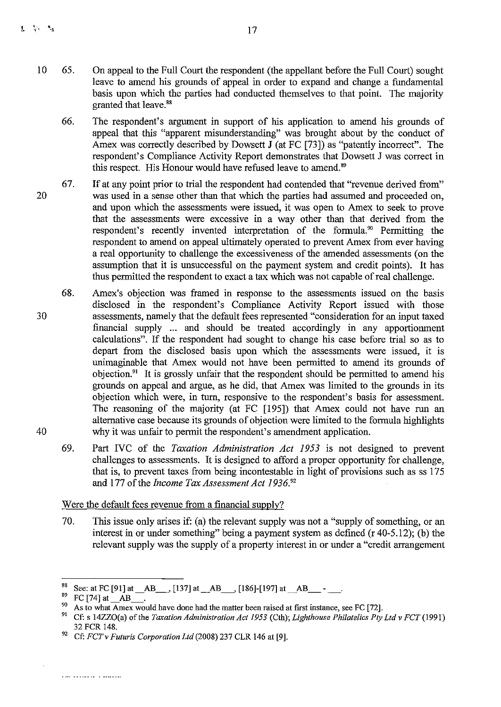- 10 65. On appeal to the Full Court the respondent (the appellant before the Full Court) sought leave to amend his grounds of appeal in order to expand and change a fundamental basis upon which the parties had conducted themselves to that point. The majority granted that leave.<sup>88</sup>
	- 66. The respondent's argument in support of his application to amend his grounds of appeal that this "apparent misunderstanding" was brought about by the conduct of Amex was correctly described by Dowsett J (at FC [73]) as "patently incorrect". The respondent's Compliance Activity Report demonstrates that Dowsett J was correct in this respect. His Honour would have refused leave to amend.<sup>89</sup>
- 20 67. If at any point prior to trial the respondent had contended that "revenue derived from" was used in a sense other than that which the parties had assumed and proceeded on, and upon which the assessments were issued, it was open to Amex to seek to prove that the assessments were excessive in a way other than that derived from the respondent's recently invented interpretation of the formula.<sup>90</sup> Permitting the respondent to amend on appeal ultimately operated to prevent Amex from ever having a real opportunity to challenge the excessiveness of the amended assessments (on the assumption that it is unsuccessful on the payment system and credit points). It has thus permitted the respondent to exact a tax which was not capable of real challenge.
- 30 40 68. Amex's objection was framed in response to the assessments issued on the basis disclosed in the respondent's Compliance Activity Report issued with those assessments, namely that the default fees represented "consideration for an input taxed financial supply... and should be treated accordingly in any apportionment calculations". If the respondent had sought to change his case before trial so as to depart from the disclosed basis upon which the assessments were issued, it is unimaginable that Amex would not have been permitted to amend its grounds of objection!' It is grossly unfair that the respondent should be permitted to amend his grounds on appeal and argue, as he did, that Amex was limited to the grounds in its objection which were, in turn, responsive to the respondent's basis for assessment. The reasoning of the majority (at FC [195]) that Amex could not have run an alternative case because its grounds of objection were limited to the formula highlights why it was unfair to permit the respondent's amendment application.
	- 69. Part *NC* of the *Taxation Administration Act* 1953 is not designed to prevent challenges to assessments. It is designed to afford a proper opportunity for challenge, that is, to prevent taxes from being incontestable in light of provisions such as ss  $175$ and 177 of the *Income Tax Assessment Act 1936*.<sup>92</sup>

## Were the default fees revenue from a financial supply?

70. This issue only arises if: (a) the relevant supply was not a "supply of something, or an interest in or under something" being a payment system as defined (r 40-5.12); (b) the relevant supply was the supply of a property interest in or under a "credit arrangement

<sup>&</sup>lt;sup>88</sup> See: at FC [91] at \_AB\_\_\_, [137] at \_AB\_\_\_, [186]-[197] at \_AB\_\_\_\_\_\_.

 $^{89}$  FC [74] at  $\_\text{AB}$ 

<sup>&</sup>lt;sup>90</sup> As to what Amex would have done had the matter been raised at first instance, see FC [72].<br><sup>91</sup> Cf: 9.1477O(9) of the Treation Administration Act 1053 (Ctb); Lighthouse Philatelian Pro-

<sup>91</sup> Cf: s 14ZZ0(a) of the *Taxation Administration Act* 1953 (Cth); *Lighthouse Philatelics Ply Ltd* v *FCT (1991)*  32 FCR 148.

<sup>&</sup>lt;sup>92</sup> Cf: *FCT v Futuris Corporation Ltd* (2008) 237 CLR 146 at [9].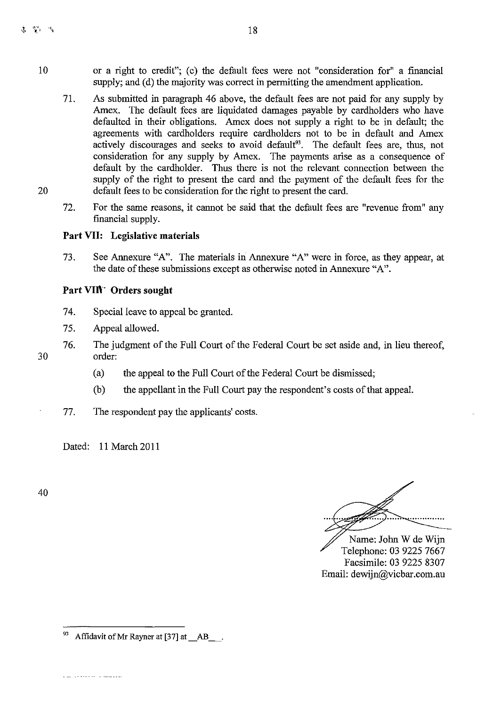- 10 or a right to credit"; (c) the default fees were not "consideration for" a fmancial supply; and (d) the majority was correct in permitting the amendment application.
	- 71. As submitted in paragraph 46 above, the default fees are not paid for any supply by Amex. The default fees are liquidated damages payable by cardholders who have defaulted in their obligations. Amex does not supply a right to be in default; the agreements with cardholders require cardholders not to be in default and Amex actively discourages and seeks to avoid default<sup>93</sup>. The default fees are, thus, not consideration for any supply by Amex. The payments arise as a consequence of default by the cardholder. Thus there is not the relevant connection between the supply of the right to present the card and the payment of the default fees for the default fees to be consideration for the right to present the card.
	- 72. For the same reasons, it cannot be said that the default fees are "revenue from" any financial supply.

## **Part VII: Legislative materials**

73. See Annexure "A". The materials in Annexure "A" were in force, as they appear, at the date of these submissions except as otherwise noted in Annexure "A".

## **Part VIn'" Orders sought**

- 74. Special leave to appeal be granted.
- 75. Appeal allowed.
- 76. The judgment of the Full Court of the Federal Court be set aside and, in lieu thereof, order:
	- (a) the appeal to the Full Court of the Federal Court be dismissed;
	- (b) the appellant in the Full Court pay the respondent's costs of that appeal.

## 77. The respondent pay the applicants' costs.

Dated: 11 March 2011

40

Name: John W de Wijn Telephone: 03 9225 7667 Facsimile: 03 9225 8307 Email: dewijn@vicbar.com.au

<sup>&</sup>lt;sup>93</sup> Affidavit of Mr Rayner at [37] at  $\_\$  AB\_ $\_\$ .